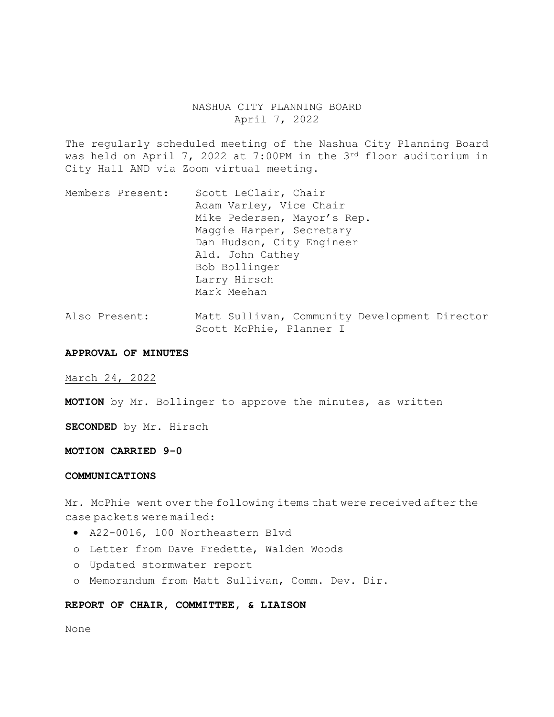# NASHUA CITY PLANNING BOARD April 7, 2022

The regularly scheduled meeting of the Nashua City Planning Board was held on April 7, 2022 at 7:00PM in the 3rd floor auditorium in City Hall AND via Zoom virtual meeting.

- Members Present: Scott LeClair, Chair Adam Varley, Vice Chair Mike Pedersen, Mayor's Rep. Maggie Harper, Secretary Dan Hudson, City Engineer Ald. John Cathey Bob Bollinger Larry Hirsch Mark Meehan
- Also Present: Matt Sullivan, Community Development Director Scott McPhie, Planner I

#### **APPROVAL OF MINUTES**

March 24, 2022

**MOTION** by Mr. Bollinger to approve the minutes, as written

**SECONDED** by Mr. Hirsch

#### **MOTION CARRIED 9-0**

# **COMMUNICATIONS**

Mr. McPhie went over the following items that were received after the case packets were mailed:

- A22-0016, 100 Northeastern Blvd
- o Letter from Dave Fredette, Walden Woods
- o Updated stormwater report
- o Memorandum from Matt Sullivan, Comm. Dev. Dir.

## **REPORT OF CHAIR, COMMITTEE, & LIAISON**

None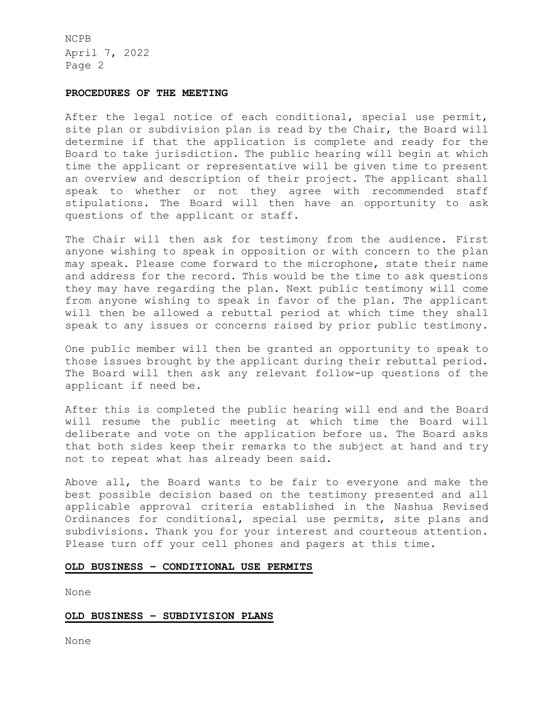### **PROCEDURES OF THE MEETING**

After the legal notice of each conditional, special use permit, site plan or subdivision plan is read by the Chair, the Board will determine if that the application is complete and ready for the Board to take jurisdiction. The public hearing will begin at which time the applicant or representative will be given time to present an overview and description of their project. The applicant shall speak to whether or not they agree with recommended staff stipulations. The Board will then have an opportunity to ask questions of the applicant or staff.

The Chair will then ask for testimony from the audience. First anyone wishing to speak in opposition or with concern to the plan may speak. Please come forward to the microphone, state their name and address for the record. This would be the time to ask questions they may have regarding the plan. Next public testimony will come from anyone wishing to speak in favor of the plan. The applicant will then be allowed a rebuttal period at which time they shall speak to any issues or concerns raised by prior public testimony.

One public member will then be granted an opportunity to speak to those issues brought by the applicant during their rebuttal period. The Board will then ask any relevant follow-up questions of the applicant if need be.

After this is completed the public hearing will end and the Board will resume the public meeting at which time the Board will deliberate and vote on the application before us. The Board asks that both sides keep their remarks to the subject at hand and try not to repeat what has already been said.

Above all, the Board wants to be fair to everyone and make the best possible decision based on the testimony presented and all applicable approval criteria established in the Nashua Revised Ordinances for conditional, special use permits, site plans and subdivisions. Thank you for your interest and courteous attention. Please turn off your cell phones and pagers at this time.

# **OLD BUSINESS – CONDITIONAL USE PERMITS**

None

# **OLD BUSINESS – SUBDIVISION PLANS**

None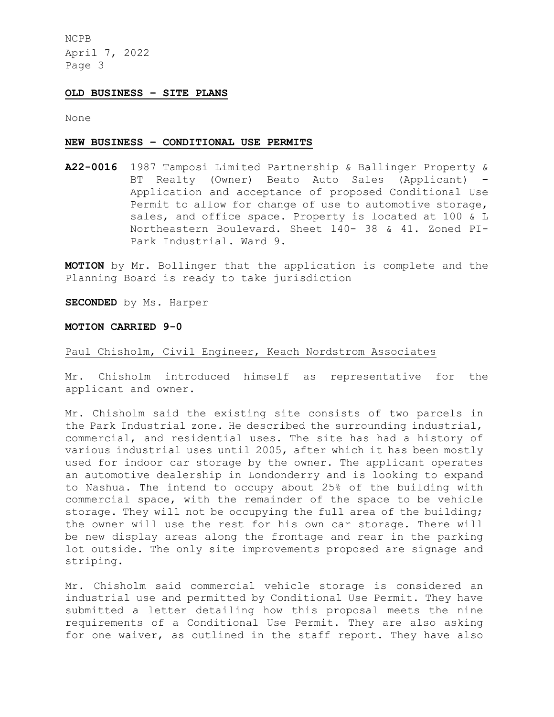## **OLD BUSINESS – SITE PLANS**

None

#### **NEW BUSINESS – CONDITIONAL USE PERMITS**

**A22-0016** 1987 Tamposi Limited Partnership & Ballinger Property & BT Realty (Owner) Beato Auto Sales (Applicant) – Application and acceptance of proposed Conditional Use Permit to allow for change of use to automotive storage, sales, and office space. Property is located at 100 & L Northeastern Boulevard. Sheet 140- 38 & 41. Zoned PI-Park Industrial. Ward 9.

**MOTION** by Mr. Bollinger that the application is complete and the Planning Board is ready to take jurisdiction

**SECONDED** by Ms. Harper

#### **MOTION CARRIED 9-0**

# Paul Chisholm, Civil Engineer, Keach Nordstrom Associates

Mr. Chisholm introduced himself as representative for the applicant and owner.

Mr. Chisholm said the existing site consists of two parcels in the Park Industrial zone. He described the surrounding industrial, commercial, and residential uses. The site has had a history of various industrial uses until 2005, after which it has been mostly used for indoor car storage by the owner. The applicant operates an automotive dealership in Londonderry and is looking to expand to Nashua. The intend to occupy about 25% of the building with commercial space, with the remainder of the space to be vehicle storage. They will not be occupying the full area of the building; the owner will use the rest for his own car storage. There will be new display areas along the frontage and rear in the parking lot outside. The only site improvements proposed are signage and striping.

Mr. Chisholm said commercial vehicle storage is considered an industrial use and permitted by Conditional Use Permit. They have submitted a letter detailing how this proposal meets the nine requirements of a Conditional Use Permit. They are also asking for one waiver, as outlined in the staff report. They have also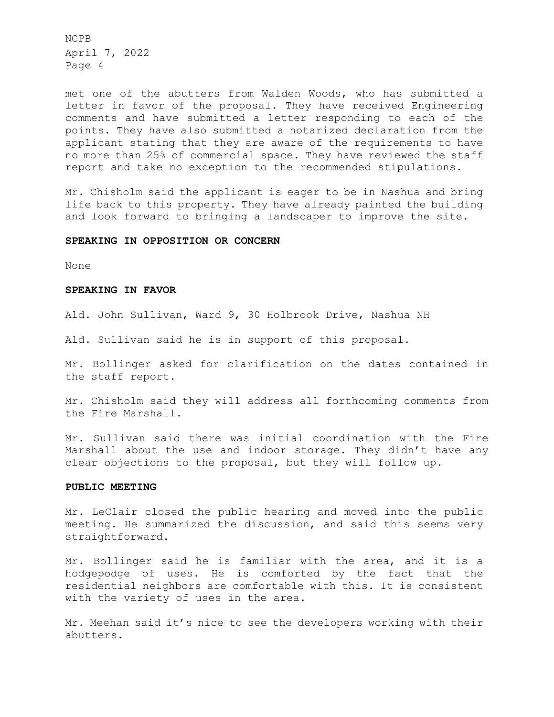met one of the abutters from Walden Woods, who has submitted a letter in favor of the proposal. They have received Engineering comments and have submitted a letter responding to each of the points. They have also submitted a notarized declaration from the applicant stating that they are aware of the requirements to have no more than 25% of commercial space. They have reviewed the staff report and take no exception to the recommended stipulations.

Mr. Chisholm said the applicant is eager to be in Nashua and bring life back to this property. They have already painted the building and look forward to bringing a landscaper to improve the site.

# **SPEAKING IN OPPOSITION OR CONCERN**

None

### **SPEAKING IN FAVOR**

Ald. John Sullivan, Ward 9, 30 Holbrook Drive, Nashua NH

Ald. Sullivan said he is in support of this proposal.

Mr. Bollinger asked for clarification on the dates contained in the staff report.

Mr. Chisholm said they will address all forthcoming comments from the Fire Marshall.

Mr. Sullivan said there was initial coordination with the Fire Marshall about the use and indoor storage. They didn't have any clear objections to the proposal, but they will follow up.

# **PUBLIC MEETING**

Mr. LeClair closed the public hearing and moved into the public meeting. He summarized the discussion, and said this seems very straightforward.

Mr. Bollinger said he is familiar with the area, and it is a hodgepodge of uses. He is comforted by the fact that the residential neighbors are comfortable with this. It is consistent with the variety of uses in the area.

Mr. Meehan said it's nice to see the developers working with their abutters.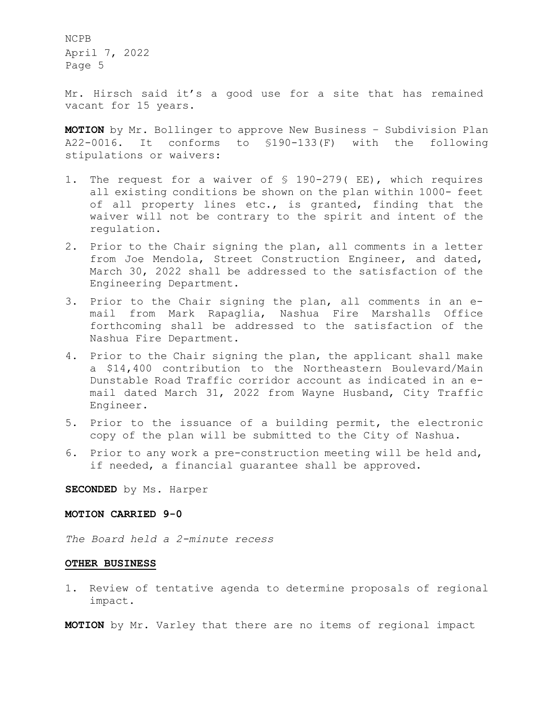Mr. Hirsch said it's a good use for a site that has remained vacant for 15 years.

**MOTION** by Mr. Bollinger to approve New Business – Subdivision Plan A22-0016. It conforms to §190-133(F) with the following stipulations or waivers:

- 1. The request for a waiver of § 190-279( EE), which requires all existing conditions be shown on the plan within 1000- feet of all property lines etc., is granted, finding that the waiver will not be contrary to the spirit and intent of the regulation.
- 2. Prior to the Chair signing the plan, all comments in a letter from Joe Mendola, Street Construction Engineer, and dated, March 30, 2022 shall be addressed to the satisfaction of the Engineering Department.
- 3. Prior to the Chair signing the plan, all comments in an email from Mark Rapaglia, Nashua Fire Marshalls Office forthcoming shall be addressed to the satisfaction of the Nashua Fire Department.
- 4. Prior to the Chair signing the plan, the applicant shall make a \$14,400 contribution to the Northeastern Boulevard/Main Dunstable Road Traffic corridor account as indicated in an email dated March 31, 2022 from Wayne Husband, City Traffic Engineer.
- 5. Prior to the issuance of a building permit, the electronic copy of the plan will be submitted to the City of Nashua.
- 6. Prior to any work a pre-construction meeting will be held and, if needed, a financial guarantee shall be approved.

**SECONDED** by Ms. Harper

## **MOTION CARRIED 9-0**

*The Board held a 2-minute recess* 

## **OTHER BUSINESS**

1. Review of tentative agenda to determine proposals of regional impact.

**MOTION** by Mr. Varley that there are no items of regional impact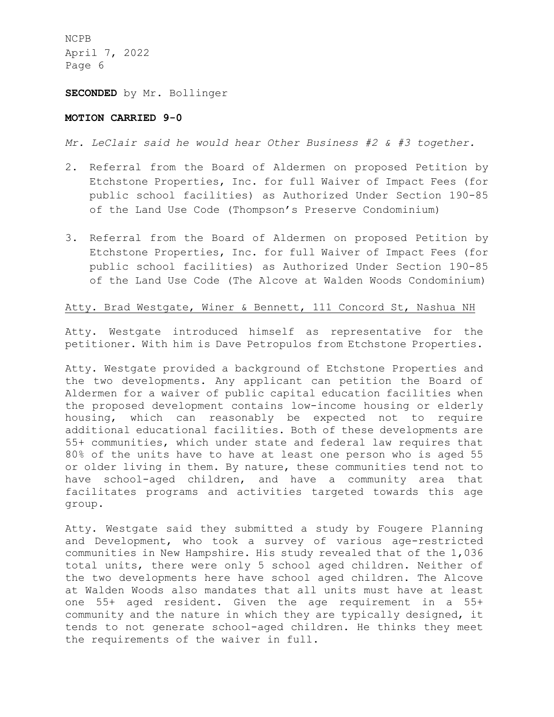**SECONDED** by Mr. Bollinger

# **MOTION CARRIED 9-0**

*Mr. LeClair said he would hear Other Business #2 & #3 together.* 

- 2. Referral from the Board of Aldermen on proposed Petition by Etchstone Properties, Inc. for full Waiver of Impact Fees (for public school facilities) as Authorized Under Section 190-85 of the Land Use Code (Thompson's Preserve Condominium)
- 3. Referral from the Board of Aldermen on proposed Petition by Etchstone Properties, Inc. for full Waiver of Impact Fees (for public school facilities) as Authorized Under Section 190-85 of the Land Use Code (The Alcove at Walden Woods Condominium)

# Atty. Brad Westgate, Winer & Bennett, 111 Concord St, Nashua NH

Atty. Westgate introduced himself as representative for the petitioner. With him is Dave Petropulos from Etchstone Properties.

Atty. Westgate provided a background of Etchstone Properties and the two developments. Any applicant can petition the Board of Aldermen for a waiver of public capital education facilities when the proposed development contains low-income housing or elderly housing, which can reasonably be expected not to require additional educational facilities. Both of these developments are 55+ communities, which under state and federal law requires that 80% of the units have to have at least one person who is aged 55 or older living in them. By nature, these communities tend not to have school-aged children, and have a community area that facilitates programs and activities targeted towards this age group.

Atty. Westgate said they submitted a study by Fougere Planning and Development, who took a survey of various age-restricted communities in New Hampshire. His study revealed that of the 1,036 total units, there were only 5 school aged children. Neither of the two developments here have school aged children. The Alcove at Walden Woods also mandates that all units must have at least one 55+ aged resident. Given the age requirement in a 55+ community and the nature in which they are typically designed, it tends to not generate school-aged children. He thinks they meet the requirements of the waiver in full.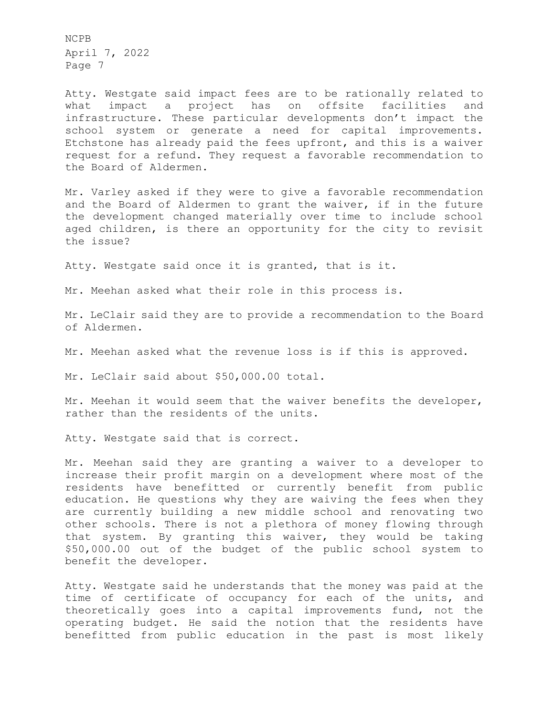Atty. Westgate said impact fees are to be rationally related to what impact a project has on offsite facilities and infrastructure. These particular developments don't impact the school system or generate a need for capital improvements. Etchstone has already paid the fees upfront, and this is a waiver request for a refund. They request a favorable recommendation to the Board of Aldermen.

Mr. Varley asked if they were to give a favorable recommendation and the Board of Aldermen to grant the waiver, if in the future the development changed materially over time to include school aged children, is there an opportunity for the city to revisit the issue?

Atty. Westgate said once it is granted, that is it.

Mr. Meehan asked what their role in this process is.

Mr. LeClair said they are to provide a recommendation to the Board of Aldermen.

Mr. Meehan asked what the revenue loss is if this is approved.

Mr. LeClair said about \$50,000.00 total.

Mr. Meehan it would seem that the waiver benefits the developer, rather than the residents of the units.

Atty. Westgate said that is correct.

Mr. Meehan said they are granting a waiver to a developer to increase their profit margin on a development where most of the residents have benefitted or currently benefit from public education. He questions why they are waiving the fees when they are currently building a new middle school and renovating two other schools. There is not a plethora of money flowing through that system. By granting this waiver, they would be taking \$50,000.00 out of the budget of the public school system to benefit the developer.

Atty. Westgate said he understands that the money was paid at the time of certificate of occupancy for each of the units, and theoretically goes into a capital improvements fund, not the operating budget. He said the notion that the residents have benefitted from public education in the past is most likely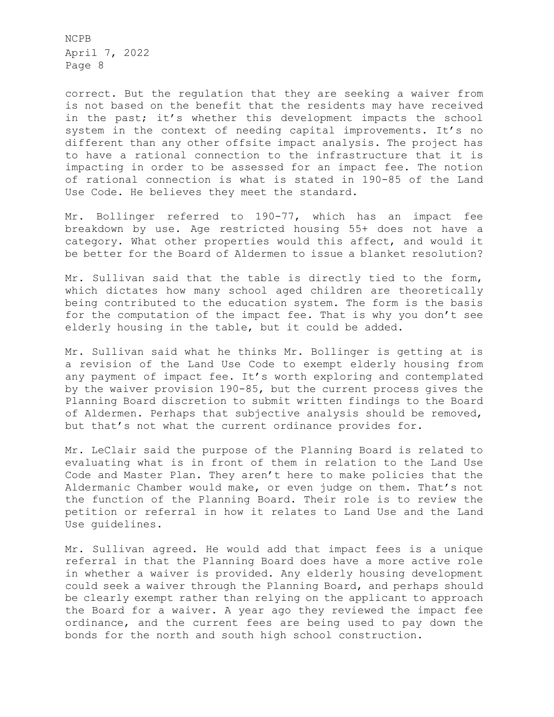correct. But the regulation that they are seeking a waiver from is not based on the benefit that the residents may have received in the past; it's whether this development impacts the school system in the context of needing capital improvements. It's no different than any other offsite impact analysis. The project has to have a rational connection to the infrastructure that it is impacting in order to be assessed for an impact fee. The notion of rational connection is what is stated in 190-85 of the Land Use Code. He believes they meet the standard.

Mr. Bollinger referred to 190-77, which has an impact fee breakdown by use. Age restricted housing 55+ does not have a category. What other properties would this affect, and would it be better for the Board of Aldermen to issue a blanket resolution?

Mr. Sullivan said that the table is directly tied to the form, which dictates how many school aged children are theoretically being contributed to the education system. The form is the basis for the computation of the impact fee. That is why you don't see elderly housing in the table, but it could be added.

Mr. Sullivan said what he thinks Mr. Bollinger is getting at is a revision of the Land Use Code to exempt elderly housing from any payment of impact fee. It's worth exploring and contemplated by the waiver provision 190-85, but the current process gives the Planning Board discretion to submit written findings to the Board of Aldermen. Perhaps that subjective analysis should be removed, but that's not what the current ordinance provides for.

Mr. LeClair said the purpose of the Planning Board is related to evaluating what is in front of them in relation to the Land Use Code and Master Plan. They aren't here to make policies that the Aldermanic Chamber would make, or even judge on them. That's not the function of the Planning Board. Their role is to review the petition or referral in how it relates to Land Use and the Land Use guidelines.

Mr. Sullivan agreed. He would add that impact fees is a unique referral in that the Planning Board does have a more active role in whether a waiver is provided. Any elderly housing development could seek a waiver through the Planning Board, and perhaps should be clearly exempt rather than relying on the applicant to approach the Board for a waiver. A year ago they reviewed the impact fee ordinance, and the current fees are being used to pay down the bonds for the north and south high school construction.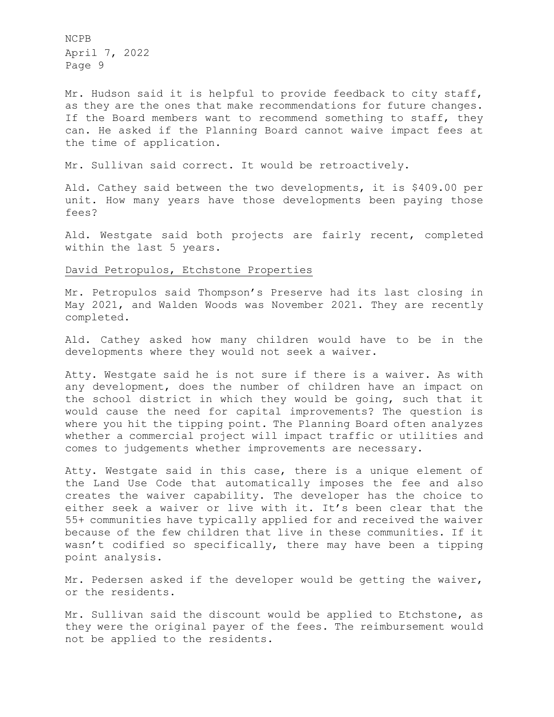Mr. Hudson said it is helpful to provide feedback to city staff, as they are the ones that make recommendations for future changes. If the Board members want to recommend something to staff, they can. He asked if the Planning Board cannot waive impact fees at the time of application.

Mr. Sullivan said correct. It would be retroactively.

Ald. Cathey said between the two developments, it is \$409.00 per unit. How many years have those developments been paying those fees?

Ald. Westgate said both projects are fairly recent, completed within the last 5 years.

# David Petropulos, Etchstone Properties

Mr. Petropulos said Thompson's Preserve had its last closing in May 2021, and Walden Woods was November 2021. They are recently completed.

Ald. Cathey asked how many children would have to be in the developments where they would not seek a waiver.

Atty. Westgate said he is not sure if there is a waiver. As with any development, does the number of children have an impact on the school district in which they would be going, such that it would cause the need for capital improvements? The question is where you hit the tipping point. The Planning Board often analyzes whether a commercial project will impact traffic or utilities and comes to judgements whether improvements are necessary.

Atty. Westgate said in this case, there is a unique element of the Land Use Code that automatically imposes the fee and also creates the waiver capability. The developer has the choice to either seek a waiver or live with it. It's been clear that the 55+ communities have typically applied for and received the waiver because of the few children that live in these communities. If it wasn't codified so specifically, there may have been a tipping point analysis.

Mr. Pedersen asked if the developer would be getting the waiver, or the residents.

Mr. Sullivan said the discount would be applied to Etchstone, as they were the original payer of the fees. The reimbursement would not be applied to the residents.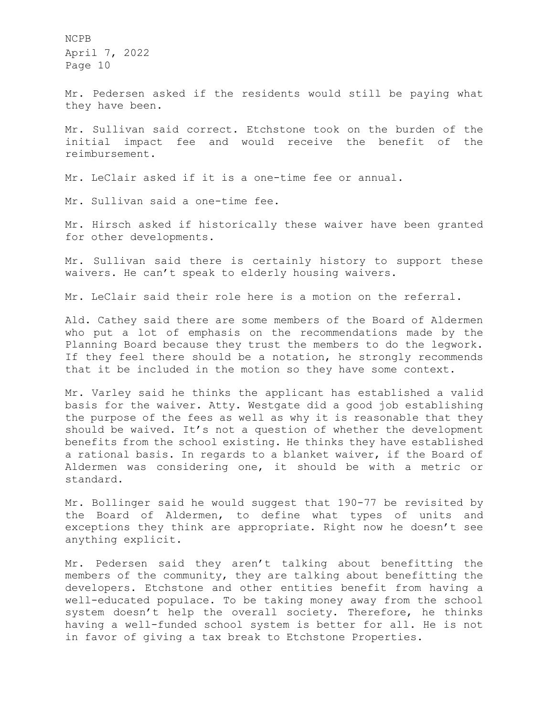Mr. Pedersen asked if the residents would still be paying what they have been.

Mr. Sullivan said correct. Etchstone took on the burden of the initial impact fee and would receive the benefit of the reimbursement.

Mr. LeClair asked if it is a one-time fee or annual.

Mr. Sullivan said a one-time fee.

Mr. Hirsch asked if historically these waiver have been granted for other developments.

Mr. Sullivan said there is certainly history to support these waivers. He can't speak to elderly housing waivers.

Mr. LeClair said their role here is a motion on the referral.

Ald. Cathey said there are some members of the Board of Aldermen who put a lot of emphasis on the recommendations made by the Planning Board because they trust the members to do the legwork. If they feel there should be a notation, he strongly recommends that it be included in the motion so they have some context.

Mr. Varley said he thinks the applicant has established a valid basis for the waiver. Atty. Westgate did a good job establishing the purpose of the fees as well as why it is reasonable that they should be waived. It's not a question of whether the development benefits from the school existing. He thinks they have established a rational basis. In regards to a blanket waiver, if the Board of Aldermen was considering one, it should be with a metric or standard.

Mr. Bollinger said he would suggest that 190-77 be revisited by the Board of Aldermen, to define what types of units and exceptions they think are appropriate. Right now he doesn't see anything explicit.

Mr. Pedersen said they aren't talking about benefitting the members of the community, they are talking about benefitting the developers. Etchstone and other entities benefit from having a well-educated populace. To be taking money away from the school system doesn't help the overall society. Therefore, he thinks having a well-funded school system is better for all. He is not in favor of giving a tax break to Etchstone Properties.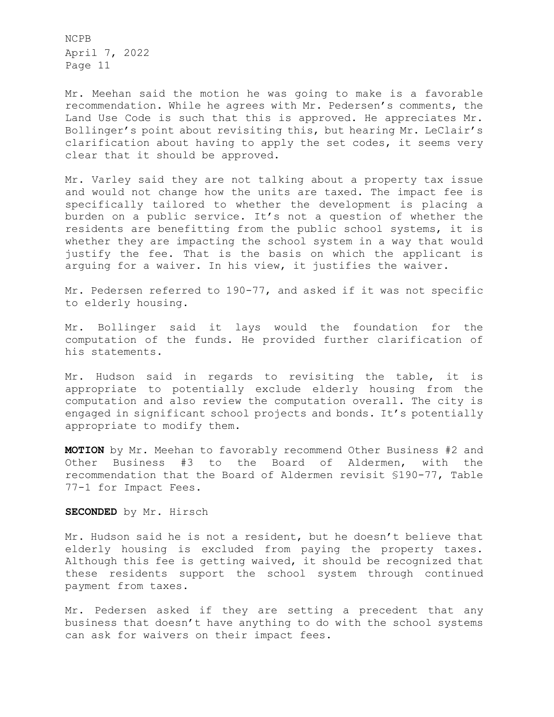Mr. Meehan said the motion he was going to make is a favorable recommendation. While he agrees with Mr. Pedersen's comments, the Land Use Code is such that this is approved. He appreciates Mr. Bollinger's point about revisiting this, but hearing Mr. LeClair's clarification about having to apply the set codes, it seems very clear that it should be approved.

Mr. Varley said they are not talking about a property tax issue and would not change how the units are taxed. The impact fee is specifically tailored to whether the development is placing a burden on a public service. It's not a question of whether the residents are benefitting from the public school systems, it is whether they are impacting the school system in a way that would justify the fee. That is the basis on which the applicant is arguing for a waiver. In his view, it justifies the waiver.

Mr. Pedersen referred to 190-77, and asked if it was not specific to elderly housing.

Mr. Bollinger said it lays would the foundation for the computation of the funds. He provided further clarification of his statements.

Mr. Hudson said in regards to revisiting the table, it is appropriate to potentially exclude elderly housing from the computation and also review the computation overall. The city is engaged in significant school projects and bonds. It's potentially appropriate to modify them.

**MOTION** by Mr. Meehan to favorably recommend Other Business #2 and Other Business #3 to the Board of Aldermen, with the recommendation that the Board of Aldermen revisit §190-77, Table 77-1 for Impact Fees.

**SECONDED** by Mr. Hirsch

Mr. Hudson said he is not a resident, but he doesn't believe that elderly housing is excluded from paying the property taxes. Although this fee is getting waived, it should be recognized that these residents support the school system through continued payment from taxes.

Mr. Pedersen asked if they are setting a precedent that any business that doesn't have anything to do with the school systems can ask for waivers on their impact fees.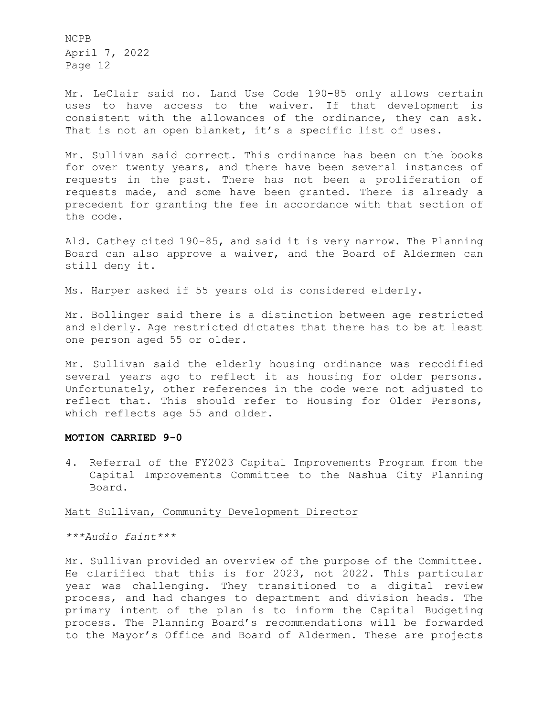Mr. LeClair said no. Land Use Code 190-85 only allows certain uses to have access to the waiver. If that development is consistent with the allowances of the ordinance, they can ask. That is not an open blanket, it's a specific list of uses.

Mr. Sullivan said correct. This ordinance has been on the books for over twenty years, and there have been several instances of requests in the past. There has not been a proliferation of requests made, and some have been granted. There is already a precedent for granting the fee in accordance with that section of the code.

Ald. Cathey cited 190-85, and said it is very narrow. The Planning Board can also approve a waiver, and the Board of Aldermen can still deny it.

Ms. Harper asked if 55 years old is considered elderly.

Mr. Bollinger said there is a distinction between age restricted and elderly. Age restricted dictates that there has to be at least one person aged 55 or older.

Mr. Sullivan said the elderly housing ordinance was recodified several years ago to reflect it as housing for older persons. Unfortunately, other references in the code were not adjusted to reflect that. This should refer to Housing for Older Persons, which reflects age 55 and older.

#### **MOTION CARRIED 9-0**

4. Referral of the FY2023 Capital Improvements Program from the Capital Improvements Committee to the Nashua City Planning Board.

#### Matt Sullivan, Community Development Director

*\*\*\*Audio faint\*\*\** 

Mr. Sullivan provided an overview of the purpose of the Committee. He clarified that this is for 2023, not 2022. This particular year was challenging. They transitioned to a digital review process, and had changes to department and division heads. The primary intent of the plan is to inform the Capital Budgeting process. The Planning Board's recommendations will be forwarded to the Mayor's Office and Board of Aldermen. These are projects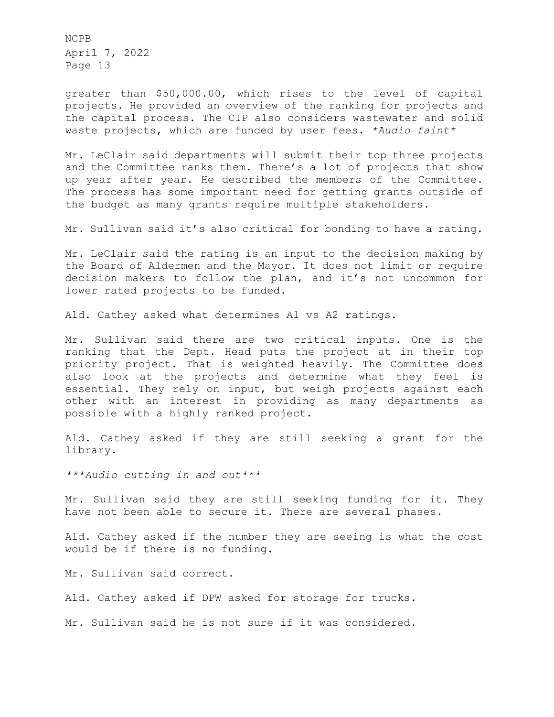greater than \$50,000.00, which rises to the level of capital projects. He provided an overview of the ranking for projects and the capital process. The CIP also considers wastewater and solid waste projects, which are funded by user fees. *\*Audio faint\** 

Mr. LeClair said departments will submit their top three projects and the Committee ranks them. There's a lot of projects that show up year after year. He described the members of the Committee. The process has some important need for getting grants outside of the budget as many grants require multiple stakeholders.

Mr. Sullivan said it's also critical for bonding to have a rating.

Mr. LeClair said the rating is an input to the decision making by the Board of Aldermen and the Mayor. It does not limit or require decision makers to follow the plan, and it's not uncommon for lower rated projects to be funded.

Ald. Cathey asked what determines A1 vs A2 ratings.

Mr. Sullivan said there are two critical inputs. One is the ranking that the Dept. Head puts the project at in their top priority project. That is weighted heavily. The Committee does also look at the projects and determine what they feel is essential. They rely on input, but weigh projects against each other with an interest in providing as many departments as possible with a highly ranked project.

Ald. Cathey asked if they are still seeking a grant for the library.

*\*\*\*Audio cutting in and out\*\*\**

Mr. Sullivan said they are still seeking funding for it. They have not been able to secure it. There are several phases.

Ald. Cathey asked if the number they are seeing is what the cost would be if there is no funding.

Mr. Sullivan said correct.

Ald. Cathey asked if DPW asked for storage for trucks.

Mr. Sullivan said he is not sure if it was considered.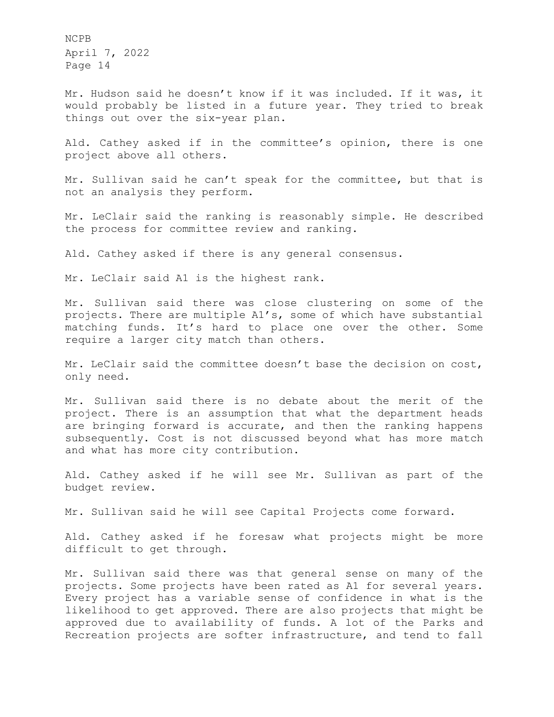Mr. Hudson said he doesn't know if it was included. If it was, it would probably be listed in a future year. They tried to break things out over the six-year plan.

Ald. Cathey asked if in the committee's opinion, there is one project above all others.

Mr. Sullivan said he can't speak for the committee, but that is not an analysis they perform.

Mr. LeClair said the ranking is reasonably simple. He described the process for committee review and ranking.

Ald. Cathey asked if there is any general consensus.

Mr. LeClair said A1 is the highest rank.

Mr. Sullivan said there was close clustering on some of the projects. There are multiple A1's, some of which have substantial matching funds. It's hard to place one over the other. Some require a larger city match than others.

Mr. LeClair said the committee doesn't base the decision on cost, only need.

Mr. Sullivan said there is no debate about the merit of the project. There is an assumption that what the department heads are bringing forward is accurate, and then the ranking happens subsequently. Cost is not discussed beyond what has more match and what has more city contribution.

Ald. Cathey asked if he will see Mr. Sullivan as part of the budget review.

Mr. Sullivan said he will see Capital Projects come forward.

Ald. Cathey asked if he foresaw what projects might be more difficult to get through.

Mr. Sullivan said there was that general sense on many of the projects. Some projects have been rated as A1 for several years. Every project has a variable sense of confidence in what is the likelihood to get approved. There are also projects that might be approved due to availability of funds. A lot of the Parks and Recreation projects are softer infrastructure, and tend to fall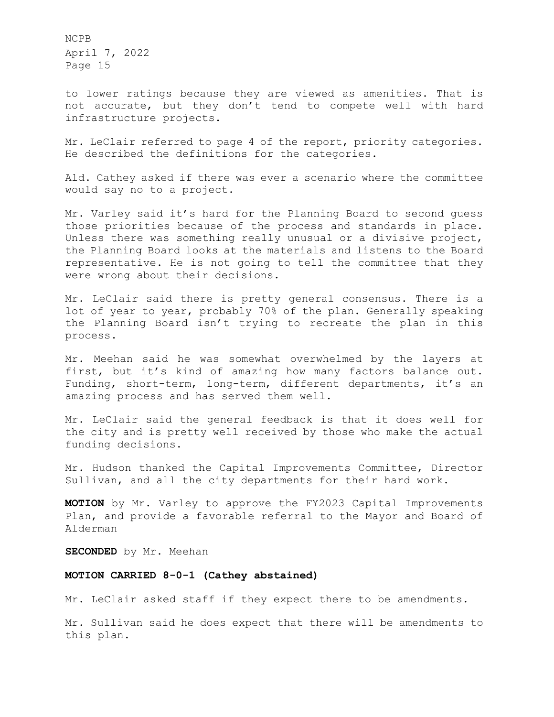to lower ratings because they are viewed as amenities. That is not accurate, but they don't tend to compete well with hard infrastructure projects.

Mr. LeClair referred to page 4 of the report, priority categories. He described the definitions for the categories.

Ald. Cathey asked if there was ever a scenario where the committee would say no to a project.

Mr. Varley said it's hard for the Planning Board to second guess those priorities because of the process and standards in place. Unless there was something really unusual or a divisive project, the Planning Board looks at the materials and listens to the Board representative. He is not going to tell the committee that they were wrong about their decisions.

Mr. LeClair said there is pretty general consensus. There is a lot of year to year, probably 70% of the plan. Generally speaking the Planning Board isn't trying to recreate the plan in this process.

Mr. Meehan said he was somewhat overwhelmed by the layers at first, but it's kind of amazing how many factors balance out. Funding, short-term, long-term, different departments, it's an amazing process and has served them well.

Mr. LeClair said the general feedback is that it does well for the city and is pretty well received by those who make the actual funding decisions.

Mr. Hudson thanked the Capital Improvements Committee, Director Sullivan, and all the city departments for their hard work.

**MOTION** by Mr. Varley to approve the FY2023 Capital Improvements Plan, and provide a favorable referral to the Mayor and Board of Alderman

**SECONDED** by Mr. Meehan

### **MOTION CARRIED 8-0-1 (Cathey abstained)**

Mr. LeClair asked staff if they expect there to be amendments.

Mr. Sullivan said he does expect that there will be amendments to this plan.